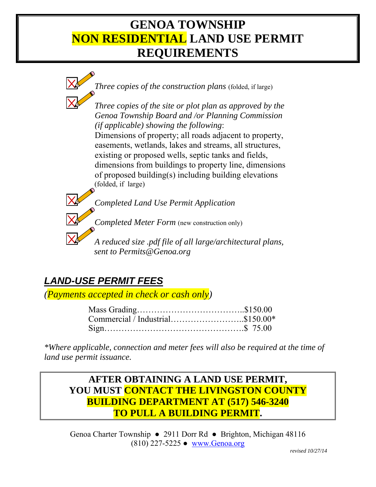## **GENOA TOWNSHIP NON RESIDENTIAL LAND USE PERMIT REQUIREMENTS**



 *sent to Permits@Genoa.org*

## *LAND-USE PERMIT FEES*

*(Payments accepted in check or cash only)*

*\*Where applicable, connection and meter fees will also be required at the time of land use permit issuance.* 

## **AFTER OBTAINING A LAND USE PERMIT, YOU MUST CONTACT THE LIVINGSTON COUNTY BUILDING DEPARTMENT AT (517) 546-3240 TO PULL A BUILDING PERMIT.**

Genoa Charter Township ● 2911 Dorr Rd ● Brighton, Michigan 48116 (810) 227-5225 ● www.Genoa.org